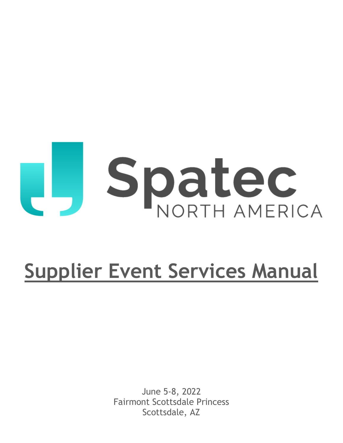# U., Spatec

# **Supplier Event Services Manual**

June 5-8, 2022 Fairmont Scottsdale Princess Scottsdale, AZ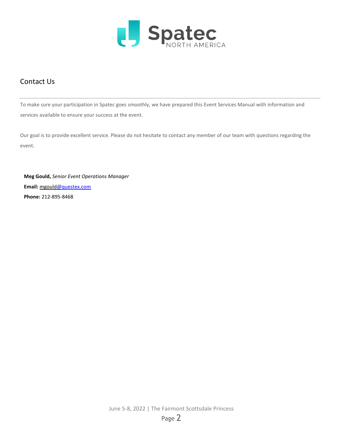

## Contact Us

To make sure your participation in Spatec goes smoothly, we have prepared this Event Services Manual with information and services available to ensure your success at the event.

Our goal is to provide excellent service. Please do not hesitate to contact any member of our team with questions regarding the event.

 **Meg Gould,** *Senior Event Operations Manager*  **Email:** mgould@questex.com  **Phone:** 212-895-8468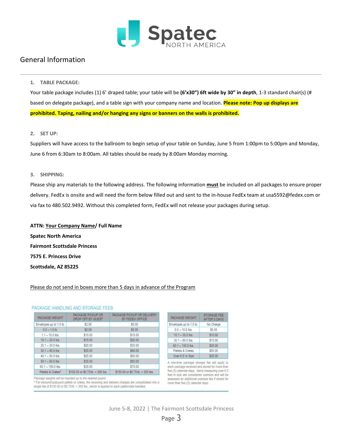

#### General Information

#### **1. TABLE PACKAGE:**

Your table package includes (1) 6' draped table; your table will be **(6'x30") 6ft wide by 30" in depth**, 1-3 standard chair(s) (# based on delegate package), and a table sign with your company name and location. **Please note: Pop up displays are prohibited. Taping, nailing and/or hanging any signs or banners on the walls is prohibited.**

#### **2. SET UP:**

Suppliers will have access to the ballroom to begin setup of your table on Sunday, June 5 from 1:00pm to 5:00pm and Monday, June 6 from 6:30am to 8:00am. All tables should be ready by 8:00am Monday morning.

#### **3. SHIPPING:**

Please ship any materials to the following address. The following information **must** be included on all packages to ensure proper delivery. FedEx is onsite and will need the form below filled out and sent to the in-house FedEx team at usa5592@fedex.com or via fax to 480.502.9492. Without this completed form, FedEx will not release your packages during setup.

**ATTN: Your Company Name/ Full Name Spatec North America Fairmont Scottsdale Princess 7575 E. Princess Drive Scottsdale, AZ 85225**

#### Please do not send in boxes more than 5 days in advance of the Program

#### PACKAGE HANDLING AND STORAGE FEES

| PACKAGE WEIGHT          | PACKAGE PICKUP OR<br>DROP OFF BY GUEST | PACKAGE PICKUP OR DELIVERY<br>BY FEDEX OFFICE |
|-------------------------|----------------------------------------|-----------------------------------------------|
| Envelopes up to 1.0 lb. | \$2.00                                 | \$5.00                                        |
| $0.0 - 1.0$ b.          | \$200                                  | \$5.00                                        |
| $1.1 - 10.0$ lbs.       | \$10.00                                | \$15.00                                       |
| $10.1 - 20.0$ lbs.      | \$15.00                                | \$20.00                                       |
| $20.1 - 30.0$ lbs.      | \$20.00                                | \$30.00                                       |
| $301 - 400$ lbs         | \$25.00                                | \$40.00                                       |
| $40.1 - 50.0$ lbs.      | \$25.00                                | \$50.00                                       |
| $50.1 - 60.0$ lbs.      | \$35.00                                | \$50.00                                       |
| $60.1 - 150.0$ lbs.     | \$35.00                                | \$70.00                                       |
| Pallets & Crates*       | \$150.00 or \$0.75 lb $>$ 200 lbs.     | \$150.00 or \$0.75/lb. > 200 lbs.             |

|                         | <b>AFTER SURTS</b> |
|-------------------------|--------------------|
| invelopes up to 1.0 lb. | No Charge          |
| $0.0 - 10.0$ lbs.       | \$5.00             |
| $10.1 - 30.0$ lbs.      | \$10.00            |
| $30.1 - 60.0$ lbs.      | \$15.00            |
| $60.1 - 150.0$ lbs.     | \$25.00            |
| Pallets & Crates        | \$50.00            |
| Over 6.5' in Size       | \$25.00            |
|                         |                    |

PACKAGE WEIGHT

STORAGE FEE

A one-time package storage fee will apply to each package received and stored for more than five (5) calendar days. Items measuring over 6.5 feet in size are considered oversize and will be assessed an additional oversize fee if stored for more than five (5) calendar days.

Package weights will be rounded up to the nearest pound.

\* For inbound/outbound pallets or crates, the receiving and delivery charges are consolidated into a single fee of \$150.00 or \$0.75/lb. > 200 lbs., which is applied to each pallet/crate handled.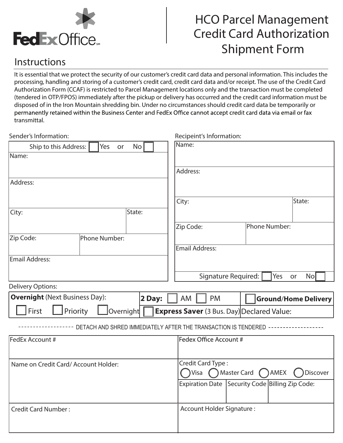

# HCO Parcel Management Credit Card Authorization Shipment Form Simpriferit Form

 $\overline{\phantom{a}}$ 

# **Instructions**

It is essential that we protect the security of our customer's credit card data and personal information. This includes the processing, handling and storing of a customer's credit card, credit card data and/or receipt. The use of the Credit Card Authorization Form (CCAF) is restricted to Parcel Management locations only and the transaction must be completed (tendered in OTP/FPOS) immediately after the pickup or delivery has occurred and the credit card information must be disposed of in the Iron Mountain shredding bin. Under no circumstances should credit card data be temporarily or transmittal. It is essential that we protect that we protect the security of our customers include the second credit card data we computating on the security of the second performation. This includes the second credit card data we amai producting returned within the business center und reuex onice cumot accept credit card data via critan or rux<br>incmittal Authorization Form (CCAF) is restricted to Parcel Management locations on  $\mathbb{R}^n$ 

| <b>Ground/Home Delivery</b>                                  |  |  |  |
|--------------------------------------------------------------|--|--|--|
|                                                              |  |  |  |
|                                                              |  |  |  |
| Fedex Office Account #                                       |  |  |  |
|                                                              |  |  |  |
| Credit Card Type:<br>Master Card<br>AMEX<br>Discover<br>Visa |  |  |  |
|                                                              |  |  |  |
|                                                              |  |  |  |
|                                                              |  |  |  |
|                                                              |  |  |  |
|                                                              |  |  |  |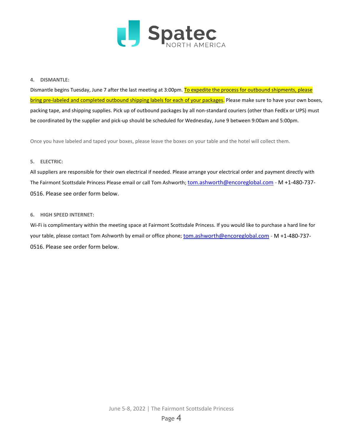

#### **4. DISMANTLE:**

Dismantle begins Tuesday, June 7 after the last meeting at 3:00pm. To expedite the process for outbound shipments, please bring pre-labeled and completed outbound shipping labels for each of your packages. Please make sure to have your own boxes, packing tape, and shipping supplies. Pick up of outbound packages by all non-standard couriers (other than FedEx or UPS) must be coordinated by the supplier and pick-up should be scheduled for Wednesday, June 9 between 9:00am and 5:00pm.

Once you have labeled and taped your boxes, please leave the boxes on your table and the hotel will collect them.

#### **5. ELECTRIC:**

All suppliers are responsible for their own electrical if needed. Please arrange your electrical order and payment directly with The Fairmont Scottsdale Princess Please email or call Tom Ashworth; [tom.ashworth@encoreglobal.com -](mailto:tom.ashworth@encoreglobal.com) M +1-480-737-0516. Please see order form below.

#### **6. HIGH SPEED INTERNET:**

Wi-Fi is complimentary within the meeting space at Fairmont Scottsdale Princess. If you would like to purchase a hard line for your table, please contact Tom Ashworth by email or office phone[; tom.ashworth@encoreglobal.com](mailto:tom.ashworth@encoreglobal.com) - M +1-480-737-0516. Please see order form below.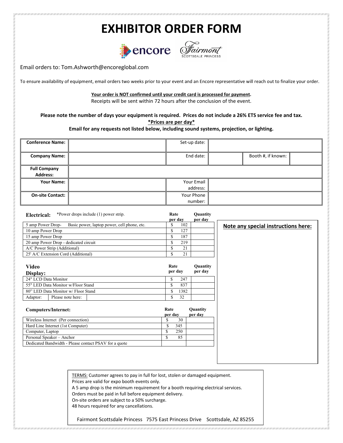# **EXHIBITOR ORDER FORM**





**Note any special instructions here:**

Email orders to: Tom.Ashworth@encoreglobal.com

To ensure availability of equipment, email orders two weeks prior to your event and an Encore representative will reach out to finalize your order.

**Your order is NOT confirmed until your credit card is processed for payment.** 

Receipts will be sent within 72 hours after the conclusion of the event.

**Please note the number of days your equipment is required. Prices do not include a 26% ETS service fee and tax. \*Prices are per day\***

#### **Email for any requests not listed below, including sound systems, projection, or lighting.**

| <b>Conference Name:</b>                | Set-up date:           |                    |  |
|----------------------------------------|------------------------|--------------------|--|
| <b>Company Name:</b>                   | End date:              | Booth #, if known: |  |
| <b>Full Company</b><br><b>Address:</b> |                        |                    |  |
| Your Name:                             | Your Email<br>address: |                    |  |
| <b>On-site Contact:</b>                | Your Phone<br>number:  |                    |  |

| *Power drops include (1) power strip.<br>Electrical:             | Rate<br>per day | Quantity<br>per day |
|------------------------------------------------------------------|-----------------|---------------------|
| 5 amp Power Drop-<br>Basic power, laptop power, cell phone, etc. | 102             |                     |
| 10 amp Power Drop                                                | 127             |                     |
| 15 amp Power Drop                                                | 187             |                     |
| 20 amp Power Drop - dedicated circuit                            | 219             |                     |
| A/C Power Strip (Additional)                                     | 21<br>œ         |                     |
| 25' A/C Extension Cord (Additional)                              | 21              |                     |

| Video<br>Display:                   |                   |   | Rate<br>per day |     | Quantity<br>per day |
|-------------------------------------|-------------------|---|-----------------|-----|---------------------|
| 24" LCD Data Monitor                |                   |   |                 | 247 |                     |
| 55" LED Data Monitor w/Floor Stand  |                   | Ф | 837             |     |                     |
| 80" LED Data Monitor w/ Floor Stand |                   | J | 1382            |     |                     |
| Adaptor:                            | Please note here: |   |                 | 32  |                     |

| Rate<br>per day | Quantity<br>per day |
|-----------------|---------------------|
| 30              |                     |
| 345             |                     |
| 250             |                     |
| 85              |                     |
|                 |                     |
|                 |                     |

TERMS: Customer agrees to pay in full for lost, stolen or damaged equipment. Prices are valid for expo booth events only.

A 5 amp drop is the minimum requirement for a booth requiring electrical services.

Orders must be paid in full before equipment delivery.

On-site orders are subject to a 50% surcharge.

48 hours required for any cancellations.

Fairmont Scottsdale Princess 7575 East Princess Drive Scottsdale, AZ 85255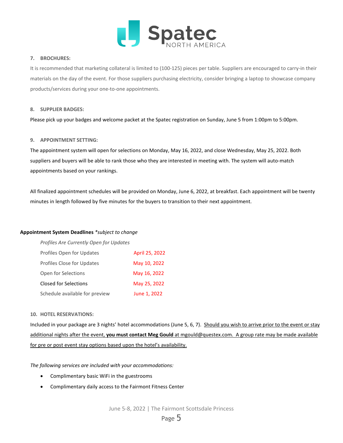

#### **7. BROCHURES:**

It is recommended that marketing collateral is limited to (100-125) pieces per table. Suppliers are encouraged to carry-in their materials on the day of the event. For those suppliers purchasing electricity, consider bringing a laptop to showcase company products/services during your one-to-one appointments.

#### **8. SUPPLIER BADGES:**

Please pick up your badges and welcome packet at the Spatec registration on Sunday, June 5 from 1:00pm to 5:00pm.

#### **9. APPOINTMENT SETTING:**

The appointment system will open for selections on Monday, May 16, 2022, and close Wednesday, May 25, 2022. Both suppliers and buyers will be able to rank those who they are interested in meeting with. The system will auto-match appointments based on your rankings.

All finalized appointment schedules will be provided on Monday, June 6, 2022, at breakfast. Each appointment will be twenty minutes in length followed by five minutes for the buyers to transition to their next appointment.

#### **Appointment System Deadlines** *\*subject to change*

| Profiles Are Currently Open for Updates |                |
|-----------------------------------------|----------------|
| Profiles Open for Updates               | April 25, 2022 |
| <b>Profiles Close for Updates</b>       | May 10, 2022   |
| Open for Selections                     | May 16, 2022   |
| Closed for Selections                   | May 25, 2022   |
| Schedule available for preview          | June 1, 2022   |

#### **10. HOTEL RESERVATIONS:**

Included in your package are 3 nights' hotel accommodations (June 5, 6, 7). Should you wish to arrive prior to the event or stay additional nights after the event, **you must contact Meg Gould** at mgould@questex.com. A group rate may be made available for pre or post event stay options based upon the hotel's availability.

*The following services are included with your accommodations:*

- Complimentary basic WiFi in the guestrooms
- Complimentary daily access to the Fairmont Fitness Center

June 5-8, 2022 | The Fairmont Scottsdale Princess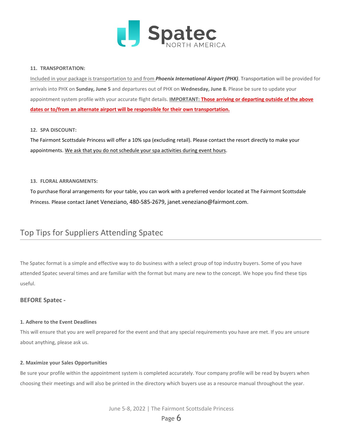

#### **11. TRANSPORTATION:**

Included in your package is transportation to and from *Phoenix International Airport (PHX)*. Transportation will be provided for arrivals into PHX on **Sunday, June 5** and departures out of PHX on **Wednesday, June 8.** Please be sure to update your appointment system profile with your accurate flight details. **IMPORTANT: Those arriving or departing outside of the above dates or to/from an alternate airport will be responsible for their own transportation.**

#### **12. SPA DISCOUNT:**

The Fairmont Scottsdale Princess will offer a 10% spa (excluding retail). Please contact the resort directly to make your appointments. We ask that you do not schedule your spa activities during event hours.

#### **13. FLORAL ARRANGMENTS:**

To purchase floral arrangements for your table, you can work with a preferred vendor located at The Fairmont Scottsdale Princess. Please contact Janet Veneziano, 480-585-2679, janet.veneziano@fairmont.com.

## Top Tips for Suppliers Attending Spatec

The Spatec format is a simple and effective way to do business with a select group of top industry buyers. Some of you have attended Spatec several times and are familiar with the format but many are new to the concept. We hope you find these tips useful.

#### **BEFORE Spatec -**

#### **1. Adhere to the Event Deadlines**

This will ensure that you are well prepared for the event and that any special requirements you have are met. If you are unsure about anything, please ask us.

#### **2. Maximize your Sales Opportunities**

Be sure your profile within the appointment system is completed accurately. Your company profile will be read by buyers when choosing their meetings and will also be printed in the directory which buyers use as a resource manual throughout the year.

June 5-8, 2022 | The Fairmont Scottsdale Princess

Page **6**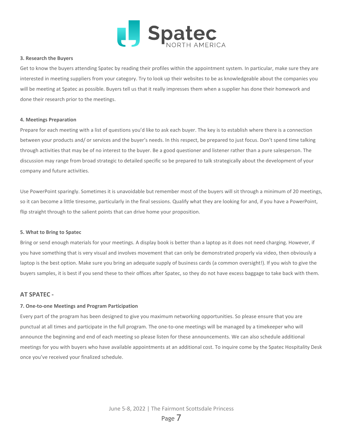

#### **3. Research the Buyers**

Get to know the buyers attending Spatec by reading their profiles within the appointment system. In particular, make sure they are interested in meeting suppliers from your category. Try to look up their websites to be as knowledgeable about the companies you will be meeting at Spatec as possible. Buyers tell us that it really impresses them when a supplier has done their homework and done their research prior to the meetings.

#### **4. Meetings Preparation**

Prepare for each meeting with a list of questions you'd like to ask each buyer. The key is to establish where there is a connection between your products and/ or services and the buyer's needs. In this respect, be prepared to just focus. Don't spend time talking through activities that may be of no interest to the buyer. Be a good questioner and listener rather than a pure salesperson. The discussion may range from broad strategic to detailed specific so be prepared to talk strategically about the development of your company and future activities.

Use PowerPoint sparingly. Sometimes it is unavoidable but remember most of the buyers will sit through a minimum of 20 meetings, so it can become a little tiresome, particularly in the final sessions. Qualify what they are looking for and, if you have a PowerPoint, flip straight through to the salient points that can drive home your proposition.

#### **5. What to Bring to Spatec**

Bring or send enough materials for your meetings. A display book is better than a laptop as it does not need charging. However, if you have something that is very visual and involves movement that can only be demonstrated properly via video, then obviously a laptop is the best option. Make sure you bring an adequate supply of business cards (a common oversight!). If you wish to give the buyers samples, it is best if you send these to their offices after Spatec, so they do not have excess baggage to take back with them.

#### **AT SPATEC -**

#### **7. One-to-one Meetings and Program Participation**

Every part of the program has been designed to give you maximum networking opportunities. So please ensure that you are punctual at all times and participate in the full program. The one-to-one meetings will be managed by a timekeeper who will announce the beginning and end of each meeting so please listen for these announcements. We can also schedule additional meetings for you with buyers who have available appointments at an additional cost. To inquire come by the Spatec Hospitality Desk once you've received your finalized schedule.